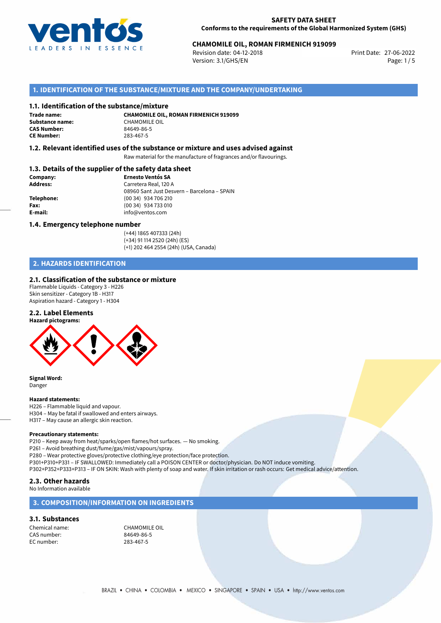

# **CHAMOMILE OIL, ROMAN FIRMENICH 919099**<br>Revision date: 04-12-2018<br>Print Date: 27-06-2022

Revision date: 04-12-2018 Version: 3.1/GHS/EN Page: 1 / 5

# **1. IDENTIFICATION OF THE SUBSTANCE/MIXTURE AND THE COMPANY/UNDERTAKING**

## **1.1. Identification of the substance/mixture**

**Trade name: CE Number:** 283-467-5

**CHAMOMILE OIL, ROMAN FIRMENICH 919099 Substance name:**<br> **CAS Number:**<br>  $84649-86-5$ **CAS Number:** 84649-86-5

## **1.2. Relevant identified uses of the substance or mixture and uses advised against**

Raw material for the manufacture of fragrances and/or flavourings.

## **1.3. Details of the supplier of the safety data sheet**

| Company:        | <b>Ernesto Ventós SA</b>                    |  |
|-----------------|---------------------------------------------|--|
| <b>Address:</b> | Carretera Real, 120 A                       |  |
|                 | 08960 Sant Just Desvern - Barcelona - SPAIN |  |
| Telephone:      | (00 34) 934 706 210                         |  |
| Fax:            | (00 34) 934 733 010                         |  |
| E-mail:         | info@ventos.com                             |  |
|                 |                                             |  |

#### **1.4. Emergency telephone number**

(+44) 1865 407333 (24h) (+34) 91 114 2520 (24h) (ES) (+1) 202 464 2554 (24h) (USA, Canada)

# **2. HAZARDS IDENTIFICATION**

#### **2.1. Classification of the substance or mixture**

Flammable Liquids - Category 3 - H226 Skin sensitizer - Category 1B - H317 Aspiration hazard - Category 1 - H304

## **2.2. Label Elements**



**Signal Word:** Danger

#### **Hazard statements:**

H226 – Flammable liquid and vapour. H304 – May be fatal if swallowed and enters airways. H317 – May cause an allergic skin reaction.

#### **Precautionary statements:**

P210 – Keep away from heat/sparks/open flames/hot surfaces. — No smoking. P261 – Avoid breathing dust/fume/gas/mist/vapours/spray. P280 – Wear protective gloves/protective clothing/eye protection/face protection. P301+P310+P331 – IF SWALLOWED: Immediately call a POISON CENTER or doctor/physician. Do NOT induce vomiting. P302+P352+P333+P313 – IF ON SKIN: Wash with plenty of soap and water. If skin irritation or rash occurs: Get medical advice/attention.

# **2.3. Other hazards**

No Information available

## **3. COMPOSITION/INFORMATION ON INGREDIENTS**

## **3.1. Substances**

Chemical name:<br>
CAS number:<br>
RAGA9-86-5 CAS number: 84649-86-<br>EC number: 283-467-5 EC number: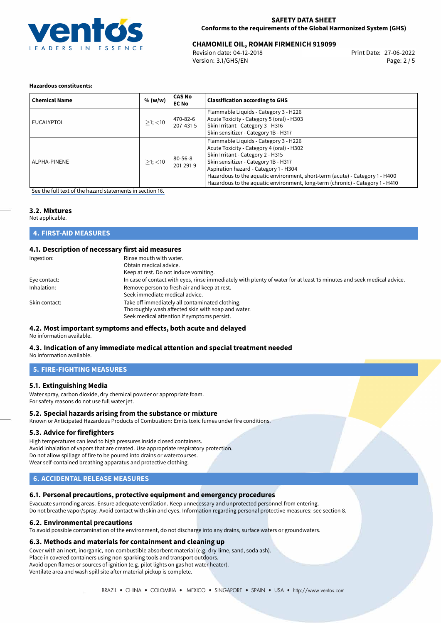

# 27-06-2022 **CHAMOMILE OIL, ROMAN FIRMENICH 919099**

Revision date: 04-12-2018 Version: 3.1/GHS/EN Page: 2 / 5

## **Hazardous constituents:**

| <b>Chemical Name</b> | % (w/w)       | <b>CAS No</b><br><b>EC No</b> | <b>Classification according to GHS</b>                                                                                                                                                                                                                                                                                                                                    |
|----------------------|---------------|-------------------------------|---------------------------------------------------------------------------------------------------------------------------------------------------------------------------------------------------------------------------------------------------------------------------------------------------------------------------------------------------------------------------|
| EUCALYPTOL           | $>1$ ; $<$ 10 | 470-82-6<br>207-431-5         | Flammable Liquids - Category 3 - H226<br>Acute Toxicity - Category 5 (oral) - H303<br>Skin Irritant - Category 3 - H316<br>Skin sensitizer - Category 1B - H317                                                                                                                                                                                                           |
| ALPHA-PINENE         | $>1$ ; $<$ 10 | $80 - 56 - 8$<br>201-291-9    | Flammable Liquids - Category 3 - H226<br>Acute Toxicity - Category 4 (oral) - H302<br>Skin Irritant - Category 2 - H315<br>Skin sensitizer - Category 1B - H317<br>Aspiration hazard - Category 1 - H304<br>Hazardous to the aquatic environment, short-term (acute) - Category 1 - H400<br>Hazardous to the aquatic environment, long-term (chronic) - Category 1 - H410 |

[See the full text of the hazard statements in section 16.](#page-4-0)

# **3.2. Mixtures**

Not applicable.

**4. FIRST-AID MEASURES**

## **4.1. Description of necessary first aid measures**

| Ingestion:    | Rinse mouth with water.<br>Obtain medical advice.<br>Keep at rest. Do not induce vomiting.                            |
|---------------|-----------------------------------------------------------------------------------------------------------------------|
|               | In case of contact with eyes, rinse immediately with plenty of water for at least 15 minutes and seek medical advice. |
| Eye contact:  |                                                                                                                       |
| Inhalation:   | Remove person to fresh air and keep at rest.                                                                          |
|               | Seek immediate medical advice.                                                                                        |
| Skin contact: | Take off immediately all contaminated clothing.                                                                       |
|               | Thoroughly wash affected skin with soap and water.                                                                    |
|               | Seek medical attention if symptoms persist.                                                                           |

#### **4.2. Most important symptoms and effects, both acute and delayed** No information available.

# **4.3. Indication of any immediate medical attention and special treatment needed**

No information available.

## **5. FIRE-FIGHTING MEASURES**

## **5.1. Extinguishing Media**

Water spray, carbon dioxide, dry chemical powder or appropriate foam. For safety reasons do not use full water jet.

#### **5.2. Special hazards arising from the substance or mixture**

Known or Anticipated Hazardous Products of Combustion: Emits toxic fumes under fire conditions.

## **5.3. Advice for firefighters**

High temperatures can lead to high pressures inside closed containers. Avoid inhalation of vapors that are created. Use appropriate respiratory protection. Do not allow spillage of fire to be poured into drains or watercourses. Wear self-contained breathing apparatus and protective clothing.

# **6. ACCIDENTAL RELEASE MEASURES**

# **6.1. Personal precautions, protective equipment and emergency procedures**

Evacuate surronding areas. Ensure adequate ventilation. Keep unnecessary and unprotected personnel from entering. Do not breathe vapor/spray. Avoid contact with skin and eyes. Information regarding personal protective measures: see section 8.

#### **6.2. Environmental precautions**

To avoid possible contamination of the environment, do not discharge into any drains, surface waters or groundwaters.

## **6.3. Methods and materials for containment and cleaning up**

Cover with an inert, inorganic, non-combustible absorbent material (e.g. dry-lime, sand, soda ash).

Place in covered containers using non-sparking tools and transport outdoors.

Avoid open flames or sources of ignition (e.g. pilot lights on gas hot water heater).

Ventilate area and wash spill site after material pickup is complete.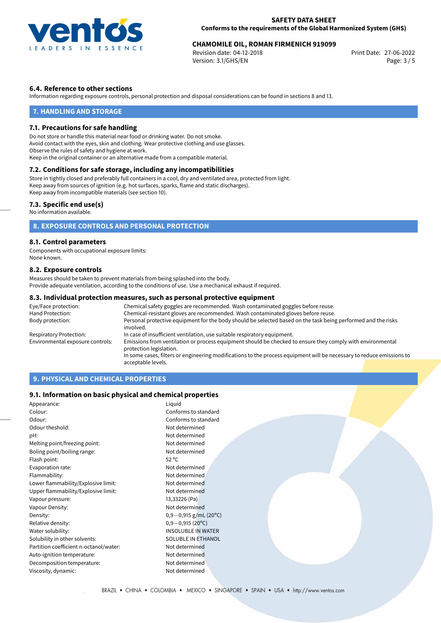

# 27-06-2022 **CHAMOMILE OIL, ROMAN FIRMENICH 919099**

Revision date: 04-12-2018 Version: 3.1/GHS/EN Page: 3 / 5

## **6.4. Reference to other sections**

Information regarding exposure controls, personal protection and disposal considerations can be found in sections 8 and 13.

## **7. HANDLING AND STORAGE**

### **7.1. Precautions for safe handling**

Do not store or handle this material near food or drinking water. Do not smoke. Avoid contact with the eyes, skin and clothing. Wear protective clothing and use glasses. Observe the rules of safety and hygiene at work. Keep in the original container or an alternative made from a compatible material.

# **7.2. Conditions for safe storage, including any incompatibilities**

Store in tightly closed and preferably full containers in a cool, dry and ventilated area, protected from light. Keep away from sources of ignition (e.g. hot surfaces, sparks, flame and static discharges). Keep away from incompatible materials (see section 10).

## **7.3. Specific end use(s)**

No information available.

# **8. EXPOSURE CONTROLS AND PERSONAL PROTECTION**

## **8.1. Control parameters**

Components with occupational exposure limits: None known.

## **8.2. Exposure controls**

Measures should be taken to prevent materials from being splashed into the body. Provide adequate ventilation, according to the conditions of use. Use a mechanical exhaust if required.

### **8.3. Individual protection measures, such as personal protective equipment**

| Eye/Face protection:             | Chemical safety goggles are recommended. Wash contaminated goggles before reuse.                                                      |  |  |
|----------------------------------|---------------------------------------------------------------------------------------------------------------------------------------|--|--|
| Hand Protection:                 | Chemical-resistant gloves are recommended. Wash contaminated gloves before reuse.                                                     |  |  |
| Body protection:                 | Personal protective equipment for the body should be selected based on the task being performed and the risks<br>involved.            |  |  |
| Respiratory Protection:          | In case of insufficient ventilation, use suitable respiratory equipment.                                                              |  |  |
| Environmental exposure controls: | Emissions from ventilation or process equipment should be checked to ensure they comply with environmental<br>protection legislation. |  |  |
|                                  | In some cases, filters or engineering modifications to the process equipment will be necessary to reduce emissions to                 |  |  |
|                                  | acceptable levels.                                                                                                                    |  |  |

# **9. PHYSICAL AND CHEMICAL PROPERTIES**

## **9.1. Information on basic physical and chemical properties**

| Appearance:                            | Liquid                    |
|----------------------------------------|---------------------------|
| Colour:                                | Conforms to standard      |
| Odour:                                 | Conforms to standard      |
| Odour theshold:                        | Not determined            |
| pH:                                    | Not determined            |
| Melting point/freezing point:          | Not determined            |
| Boling point/boiling range:            | Not determined            |
| Flash point:                           | $52^{\circ}$ C            |
| Evaporation rate:                      | Not determined            |
| Flammability:                          | Not determined            |
| Lower flammability/Explosive limit:    | Not determined            |
| Upper flammability/Explosive limit:    | Not determined            |
| Vapour pressure:                       | 13,33226 (Pa)             |
| Vapour Density:                        | Not determined            |
| Density:                               | $0,9-0,915$ g/mL (20°C)   |
| Relative density:                      | $0,9-0,915(20^{\circ}C)$  |
| Water solubility:                      | <b>INSOLUBLE IN WATER</b> |
| Solubility in other solvents:          | SOLUBLE IN ETHANOL        |
| Partition coefficient n-octanol/water: | Not determined            |
| Auto-ignition temperature:             | Not determined            |
| Decomposition temperature:             | Not determined            |
| Viscosity, dynamic:                    | Not determined            |
|                                        |                           |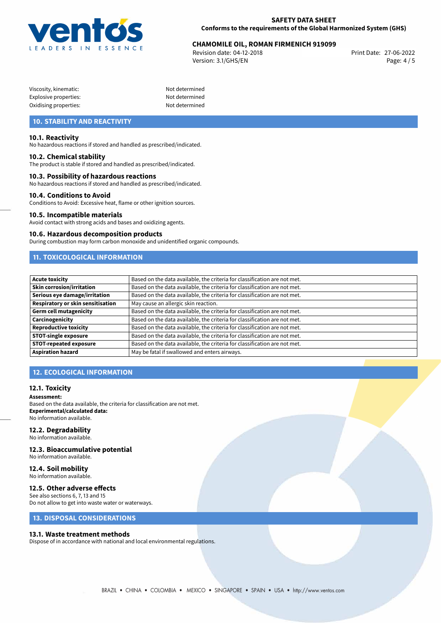

# 27-06-2022 **CHAMOMILE OIL, ROMAN FIRMENICH 919099**

Revision date: 04-12-2018 Version: 3.1/GHS/EN Page: 4 / 5

| Viscosity, kinematic: |  |
|-----------------------|--|
| Explosive properties: |  |
| Oxidising properties: |  |

Not determined Not determined Not determined

# **10. STABILITY AND REACTIVITY**

## **10.1. Reactivity**

No hazardous reactions if stored and handled as prescribed/indicated.

### **10.2. Chemical stability**

The product is stable if stored and handled as prescribed/indicated.

## **10.3. Possibility of hazardous reactions**

No hazardous reactions if stored and handled as prescribed/indicated.

#### **10.4. Conditions to Avoid**

Conditions to Avoid: Excessive heat, flame or other ignition sources.

#### **10.5. Incompatible materials**

Avoid contact with strong acids and bases and oxidizing agents.

#### **10.6. Hazardous decomposition products**

During combustion may form carbon monoxide and unidentified organic compounds.

# **11. TOXICOLOGICAL INFORMATION**

| <b>Acute toxicity</b>             | Based on the data available, the criteria for classification are not met. |
|-----------------------------------|---------------------------------------------------------------------------|
| Skin corrosion/irritation         | Based on the data available, the criteria for classification are not met. |
| Serious eye damage/irritation     | Based on the data available, the criteria for classification are not met. |
| Respiratory or skin sensitisation | May cause an allergic skin reaction.                                      |
| Germ cell mutagenicity            | Based on the data available, the criteria for classification are not met. |
| Carcinogenicity                   | Based on the data available, the criteria for classification are not met. |
| <b>Reproductive toxicity</b>      | Based on the data available, the criteria for classification are not met. |
| <b>STOT-single exposure</b>       | Based on the data available, the criteria for classification are not met. |
| <b>STOT-repeated exposure</b>     | Based on the data available, the criteria for classification are not met. |
| <b>Aspiration hazard</b>          | May be fatal if swallowed and enters airways.                             |

# **12. ECOLOGICAL INFORMATION**

#### **12.1. Toxicity**

**Assessment:**

Based on the data available, the criteria for classification are not met. **Experimental/calculated data:** No information available.

#### **12.2. Degradability**

- No information available.
- **12.3. Bioaccumulative potential**

No information available.

#### **12.4. Soil mobility** No information available.

# **12.5. Other adverse effects**

See also sections 6, 7, 13 and 15 Do not allow to get into waste water or waterways.

# **13. DISPOSAL CONSIDERATIONS**

### **13.1. Waste treatment methods**

Dispose of in accordance with national and local environmental regulations.